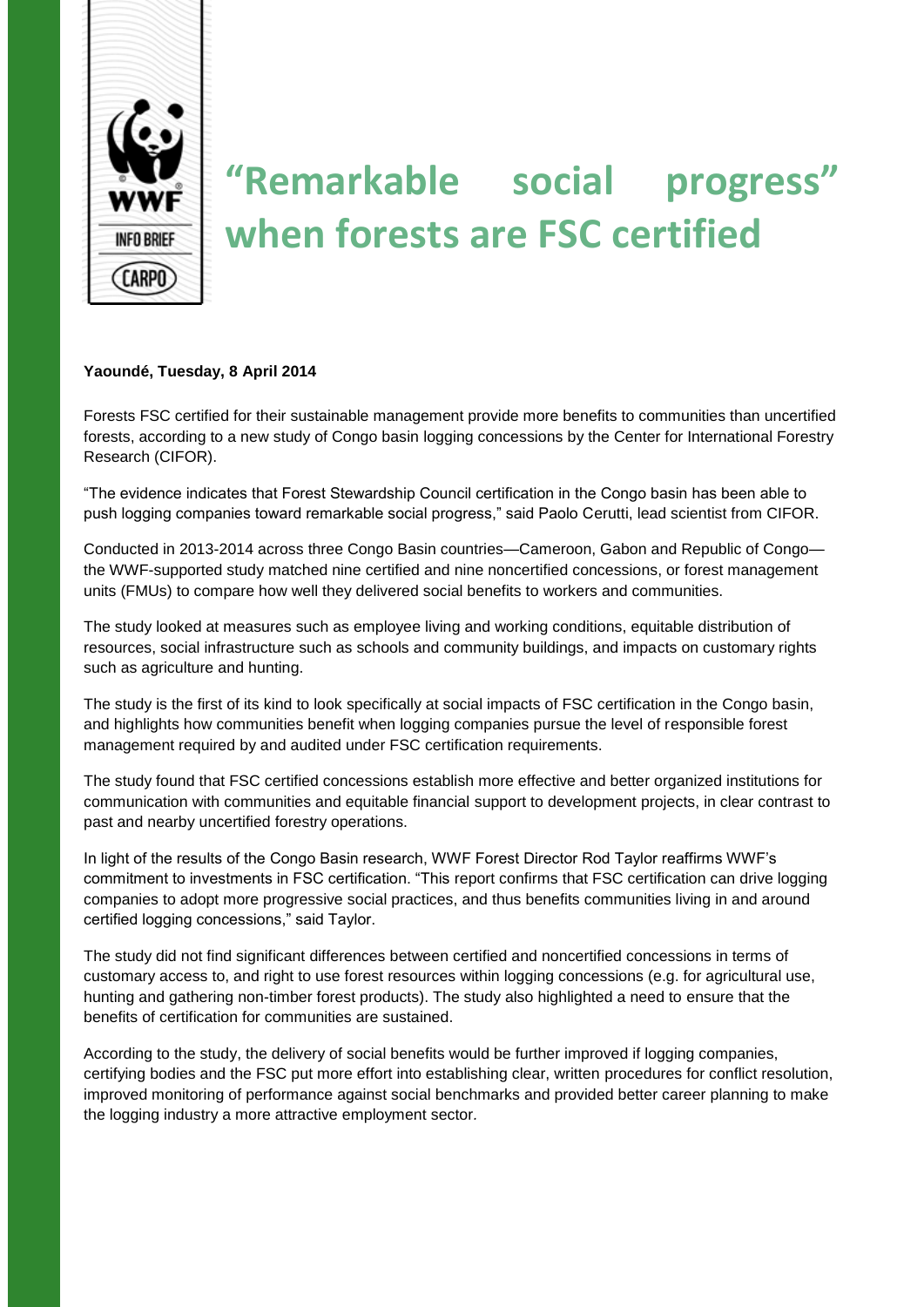

# **"Remarkable social progress" when forests are FSC certified**

## **Yaoundé, Tuesday, 8 April 2014**

Forests FSC certified for their sustainable management provide more benefits to communities than uncertified forests, according to a new study of Congo basin logging concessions by the Center for International Forestry Research (CIFOR).

"The evidence indicates that Forest Stewardship Council certification in the Congo basin has been able to push logging companies toward remarkable social progress," said Paolo Cerutti, lead scientist from CIFOR.

Conducted in 2013-2014 across three Congo Basin countries—Cameroon, Gabon and Republic of Congo the WWF-supported study matched nine certified and nine noncertified concessions, or forest management units (FMUs) to compare how well they delivered social benefits to workers and communities.

The study looked at measures such as employee living and working conditions, equitable distribution of resources, social infrastructure such as schools and community buildings, and impacts on customary rights such as agriculture and hunting.

The study is the first of its kind to look specifically at social impacts of FSC certification in the Congo basin, and highlights how communities benefit when logging companies pursue the level of responsible forest management required by and audited under FSC certification requirements.

The study found that FSC certified concessions establish more effective and better organized institutions for communication with communities and equitable financial support to development projects, in clear contrast to past and nearby uncertified forestry operations.

In light of the results of the Congo Basin research, WWF Forest Director Rod Taylor reaffirms WWF's commitment to investments in FSC certification. "This report confirms that FSC certification can drive logging companies to adopt more progressive social practices, and thus benefits communities living in and around certified logging concessions," said Taylor.

The study did not find significant differences between certified and noncertified concessions in terms of customary access to, and right to use forest resources within logging concessions (e.g. for agricultural use, hunting and gathering non-timber forest products). The study also highlighted a need to ensure that the benefits of certification for communities are sustained.

According to the study, the delivery of social benefits would be further improved if logging companies, certifying bodies and the FSC put more effort into establishing clear, written procedures for conflict resolution, improved monitoring of performance against social benchmarks and provided better career planning to make the logging industry a more attractive employment sector*.*